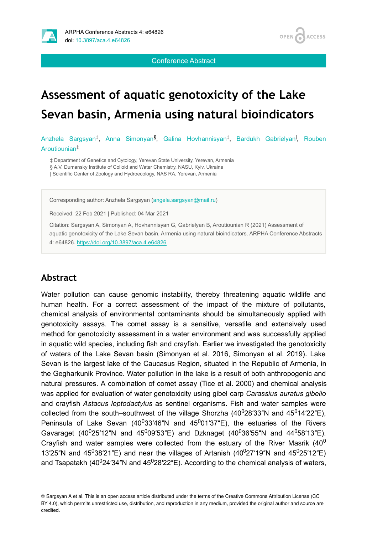

Conference Abstract

**ACCESS** 

**OPEN** 

# **Assessment of aquatic genotoxicity of the Lake Sevan basin, Armenia using natural bioindicators**

Anzhela Sargsyan<sup>t</sup>, Anna Simonyan<sup>§</sup>, Galina Hovhannisyan<sup>t</sup>, Bardukh Gabrielyan<sup>l</sup>, Rouben Aroutiounian ‡

‡ Department of Genetics and Cytology, Yerevan State University, Yerevan, Armenia

§ A.V. Dumansky Institute of Colloid and Water Chemistry, NASU, Kyiv, Ukraine | Scientific Center of Zoology and Hydroecology, NAS RA, Yerevan, Armenia

Corresponding author: Anzhela Sargsyan [\(angela.sargsyan@mail.ru\)](mailto:angela.sargsyan@mail.ru)

Received: 22 Feb 2021 | Published: 04 Mar 2021

Citation: Sargsyan A, Simonyan A, Hovhannisyan G, Gabrielyan B, Aroutiounian R (2021) Assessment of aquatic genotoxicity of the Lake Sevan basin, Armenia using natural bioindicators. ARPHA Conference Abstracts 4: e64826. <https://doi.org/10.3897/aca.4.e64826>

### **Abstract**

Water pollution can cause genomic instability, thereby threatening aquatic wildlife and human health․ For a correct assessment of the impact of the mixture of pollutants, chemical analysis of environmental contaminants should be simultaneously applied with genotoxicity assays. The сomet assay is a sensitive, versatile and extensively used method for genotoxicity assessment in a water environment and was successfully applied in aquatic wild species, including fish and crayfish. Earlier we investigated the genotoxicity of waters of the Lake Sevan basin (Simonyan et al. 2016, Simonyan et al. 2019)․ Lake Sevan is the largest lake of the Caucasus Region, situated in the Republic of Armenia, in the Gegharkunik Province. Water pollution in the lake is a result of both anthropogenic and natural pressures. A combination of comet assay (Tice et al. 2000) and chemical analysis was applied for evaluation of water genotoxicity using gibel carp *Carassius auratus gibelio* and crayfish *Astacus leptodactylus* as sentinel organisms. Fish and water samples were collected from the south–southwest of the village Shorzha (40 $0$ 28'33"N and 45 $0$ 14'22"E), Peninsula of Lake Sevan (40 $0$ 33'46"N and 45 $0$ 01'37"E), the estuaries of the Rivers Gavaraget (40<sup>0</sup>25'12"N and 45<sup>0</sup>09'53"E) and Dzknaget (40<sup>0</sup>36'55"N and 44<sup>0</sup>58'13"E). Crayfish and water samples were collected from the estuary of the River Masrik  $(40^0$ 13'25"N and 45<sup>0</sup>38'21"E) and near the villages of Artanish (40<sup>0</sup>27'19"N and 45<sup>0</sup>25'12"E) and Tsapatakh (40<sup>0</sup>24'34"N and 45<sup>0</sup>28'22"E). According to the chemical analysis of waters,

© Sargsyan A et al. This is an open access article distributed under the terms of the Creative Commons Attribution License (CC BY 4.0), which permits unrestricted use, distribution, and reproduction in any medium, provided the original author and source are credited.